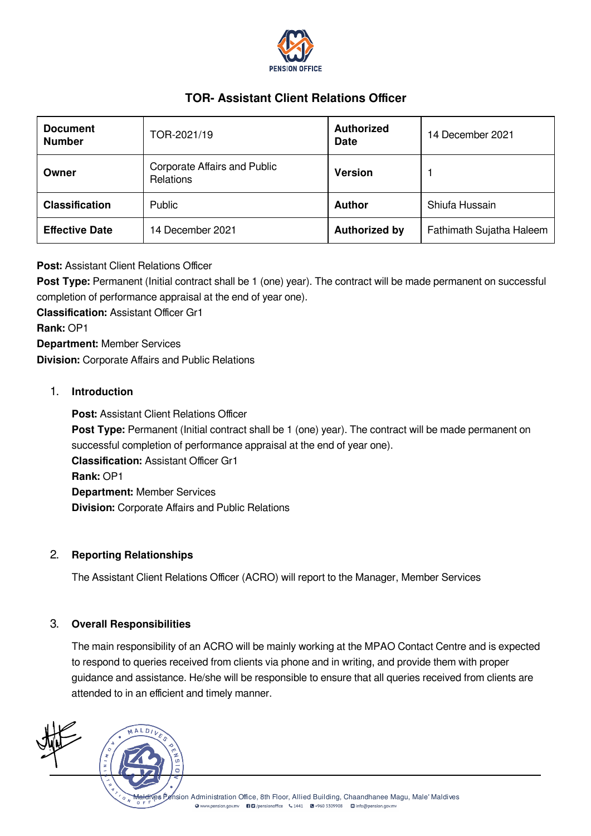

# TOR- Assistant Client Relations Officer

| <b>Document</b><br><b>Number</b> | TOR-2021/19                                             | <b>Authorized</b><br><b>Date</b> | 14 December 2021         |
|----------------------------------|---------------------------------------------------------|----------------------------------|--------------------------|
| Owner                            | <b>Corporate Affairs and Public</b><br><b>Relations</b> | <b>Version</b>                   |                          |
| <b>Classification</b>            | Public                                                  | <b>Author</b>                    | Shiufa Hussain           |
| <b>Effective Date</b>            | 14 December 2021                                        | <b>Authorized by</b>             | Fathimath Sujatha Haleem |

## Post: Assistant Client Relations Officer

Post Type: Permanent (Initial contract shall be 1 (one) year). The contract will be made permanent on successful completion of performance appraisal at the end of year one).

Classification: Assistant Officer Gr1 Rank: OP1 Department: Member Services Division: Corporate Affairs and Public Relations

## 1. Introduction

Post: Assistant Client Relations Officer Post Type: Permanent (Initial contract shall be 1 (one) year). The contract will be made permanent on successful completion of performance appraisal at the end of year one). Classification: Assistant Officer Gr1 Rank: OP1 Department: Member Services Division: Corporate Affairs and Public Relations

#### 2. Reporting Relationships

The Assistant Client Relations Officer (ACRO) will report to the Manager, Member Services

#### 3. Overall Responsibilities

The main responsibility of an ACRO will be mainly working at the MPAO Contact Centre and is expected to respond to queries received from clients via phone and in writing, and provide them with proper guidance and assistance. He/she will be responsible to ensure that all queries received from clients are attended to in an efficient and timely manner.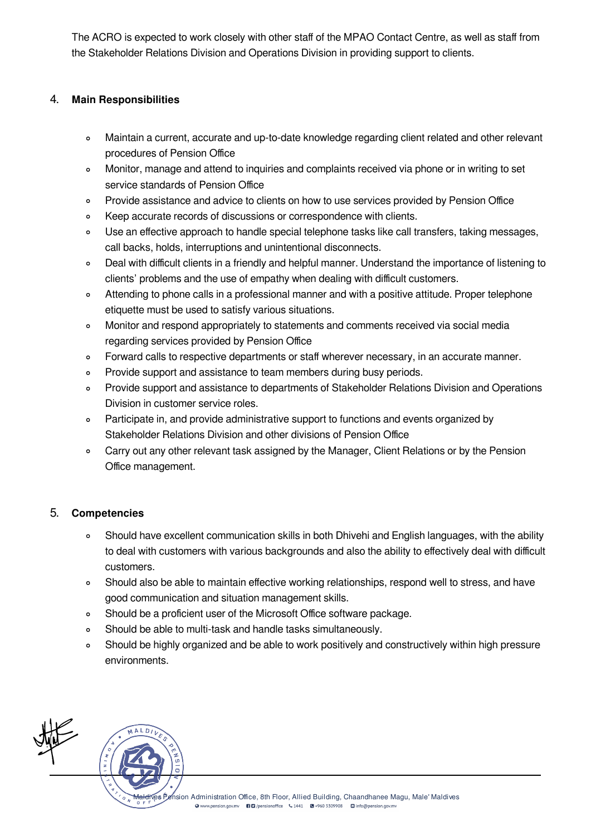The ACRO is expected to work closely with other staff of the MPAO Contact Centre, as well as staff from the Stakeholder Relations Division and Operations Division in providing support to clients.

## 4. Main Responsibilities

- Maintain a current, accurate and up-to-date knowledge regarding client related and other relevant  $\circ$ procedures of Pension Office
- Monitor, manage and attend to inquiries and complaints received via phone or in writing to set  $\circ$ service standards of Pension Office
- Provide assistance and advice to clients on how to use services provided by Pension Office  $\circ$
- Keep accurate records of discussions or correspondence with clients.  $\circ$
- Use an effective approach to handle special telephone tasks like call transfers, taking messages,  $\circ$ call backs, holds, interruptions and unintentional disconnects.
- Deal with difficult clients in a friendly and helpful manner. Understand the importance of listening to  $\circ$ clients' problems and the use of empathy when dealing with difficult customers.
- Attending to phone calls in a professional manner and with a positive attitude. Proper telephone  $\circ$ etiquette must be used to satisfy various situations.
- Monitor and respond appropriately to statements and comments received via social media  $\circ$ regarding services provided by Pension Office
- Forward calls to respective departments or staff wherever necessary, in an accurate manner.  $\circ$
- $\circ$ Provide support and assistance to team members during busy periods.
- Provide support and assistance to departments of Stakeholder Relations Division and Operations  $\circ$ Division in customer service roles.
- Participate in, and provide administrative support to functions and events organized by  $\circ$ Stakeholder Relations Division and other divisions of Pension Office
- Carry out any other relevant task assigned by the Manager, Client Relations or by the Pension  $\circ$ Office management.

## 5. Competencies

- Should have excellent communication skills in both Dhivehi and English languages, with the ability  $\circ$ to deal with customers with various backgrounds and also the ability to effectively deal with difficult customers.
- $\circ$ Should also be able to maintain effective working relationships, respond well to stress, and have good communication and situation management skills.
- Should be a proficient user of the Microsoft Office software package.  $\circ$
- Should be able to multi-task and handle tasks simultaneously.  $\circ$
- Should be highly organized and be able to work positively and constructively within high pressure  $\circ$ environments.